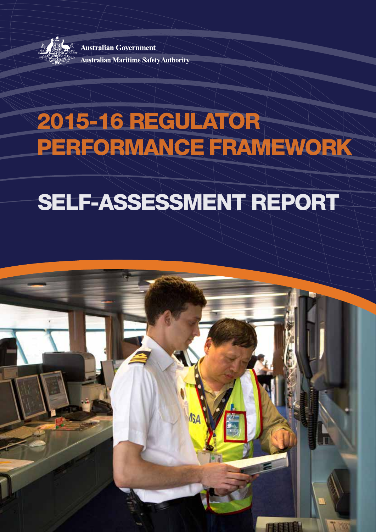

**Australian Government Australian Maritime Safety Authority** 

## 2015-16 REGULATOR PERFORMANCE FRAMEWORK

## SELF-ASSESSMENT REPORT

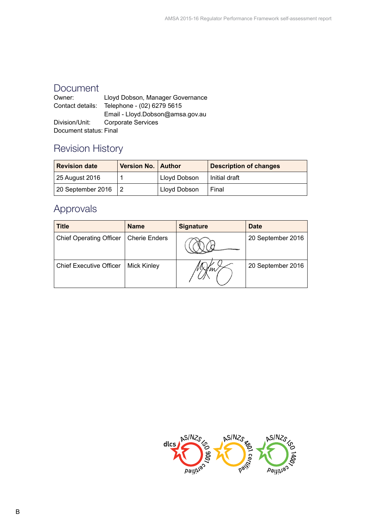#### **Document**

| Owner:                 | Lloyd Dobson, Manager Governance |
|------------------------|----------------------------------|
| Contact details:       | Telephone - (02) 6279 5615       |
|                        | Email - Lloyd.Dobson@amsa.gov.au |
| Division/Unit:         | <b>Corporate Services</b>        |
| Document status: Final |                                  |

#### Revision History

| <b>Revision date</b> | Version No.   Author |              | <b>Description of changes</b> |
|----------------------|----------------------|--------------|-------------------------------|
| 25 August 2016       |                      | Lloyd Dobson | Initial draft                 |
| 20 September 2016    |                      | Lloyd Dobson | Final                         |

#### Approvals

| <b>Title</b>                   | <b>Name</b>          | <b>Signature</b> | <b>Date</b>       |
|--------------------------------|----------------------|------------------|-------------------|
| <b>Chief Operating Officer</b> | <b>Cherie Enders</b> |                  | 20 September 2016 |
| <b>Chief Executive Officer</b> | <b>Mick Kinley</b>   | 'm               | 20 September 2016 |

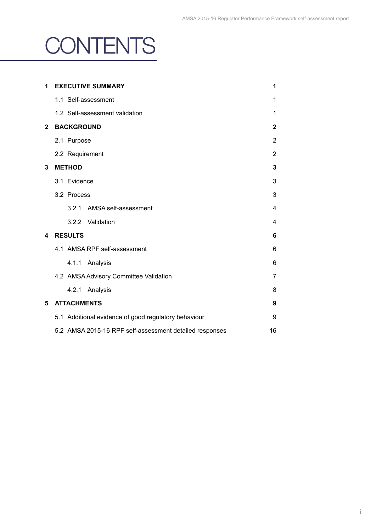## **CONTENTS**

| 1            | <b>EXECUTIVE SUMMARY</b>                                | 1              |
|--------------|---------------------------------------------------------|----------------|
|              | 1.1 Self-assessment                                     | 1              |
|              | 1.2 Self-assessment validation                          | 1              |
| $\mathbf{2}$ | <b>BACKGROUND</b>                                       | $\mathbf{2}$   |
|              | 2.1 Purpose                                             | 2              |
|              | 2.2 Requirement                                         | $\overline{2}$ |
| 3            | <b>METHOD</b>                                           | 3              |
|              | 3.1 Evidence                                            | 3              |
|              | 3.2 Process                                             | 3              |
|              | 3.2.1<br>AMSA self-assessment                           | 4              |
|              | 3.2.2 Validation                                        | 4              |
| 4            | <b>RESULTS</b>                                          | 6              |
|              | 4.1 AMSA RPF self-assessment                            | 6              |
|              | Analysis<br>4.1.1                                       | 6              |
|              | 4.2 AMSA Advisory Committee Validation                  | 7              |
|              | 4.2.1<br>Analysis                                       | 8              |
| 5            | <b>ATTACHMENTS</b>                                      | 9              |
|              | 5.1 Additional evidence of good regulatory behaviour    | 9              |
|              | 5.2 AMSA 2015-16 RPF self-assessment detailed responses | 16             |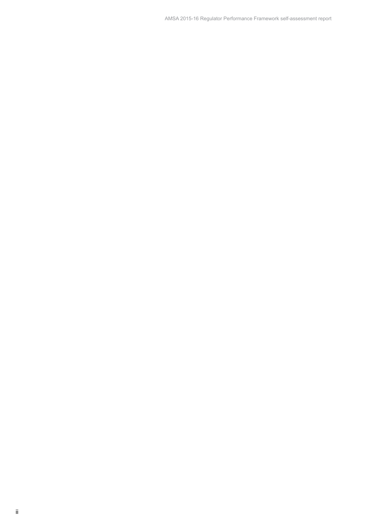AMSA 2015-16 Regulator Performance Framework self-assessment report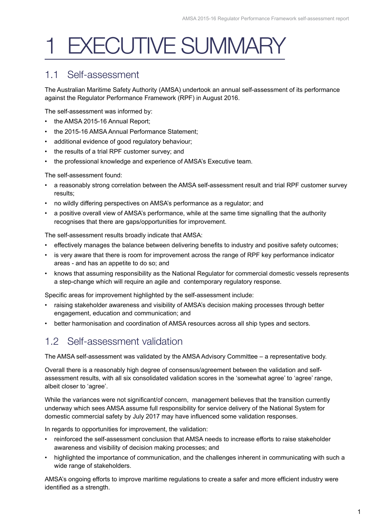## **EXECUTIVE SUMMARY**

#### 1.1 Self-assessment

The Australian Maritime Safety Authority (AMSA) undertook an annual self-assessment of its performance against the Regulator Performance Framework (RPF) in August 2016.

The self-assessment was informed by:

- the AMSA 2015-16 Annual Report;
- the 2015-16 AMSA Annual Performance Statement;
- additional evidence of good regulatory behaviour;
- the results of a trial RPF customer survey; and
- the professional knowledge and experience of AMSA's Executive team.

The self-assessment found:

- a reasonably strong correlation between the AMSA self-assessment result and trial RPF customer survey results;
- no wildly differing perspectives on AMSA's performance as a regulator; and
- a positive overall view of AMSA's performance, while at the same time signalling that the authority recognises that there are gaps/opportunities for improvement.

The self-assessment results broadly indicate that AMSA:

- effectively manages the balance between delivering benefits to industry and positive safety outcomes;
- is very aware that there is room for improvement across the range of RPF key performance indicator areas - and has an appetite to do so; and
- knows that assuming responsibility as the National Regulator for commercial domestic vessels represents a step-change which will require an agile and contemporary regulatory response.

Specific areas for improvement highlighted by the self-assessment include:

- raising stakeholder awareness and visibility of AMSA's decision making processes through better engagement, education and communication; and
- better harmonisation and coordination of AMSA resources across all ship types and sectors.

#### 1.2 Self-assessment validation

The AMSA self-assessment was validated by the AMSA Advisory Committee – a representative body.

Overall there is a reasonably high degree of consensus/agreement between the validation and selfassessment results, with all six consolidated validation scores in the 'somewhat agree' to 'agree' range, albeit closer to 'agree'.

While the variances were not significant/of concern, management believes that the transition currently underway which sees AMSA assume full responsibility for service delivery of the National System for domestic commercial safety by July 2017 may have influenced some validation responses.

In regards to opportunities for improvement, the validation:

- reinforced the self-assessment conclusion that AMSA needs to increase efforts to raise stakeholder awareness and visibility of decision making processes; and
- highlighted the importance of communication, and the challenges inherent in communicating with such a wide range of stakeholders.

AMSA's ongoing efforts to improve maritime regulations to create a safer and more efficient industry were identified as a strength.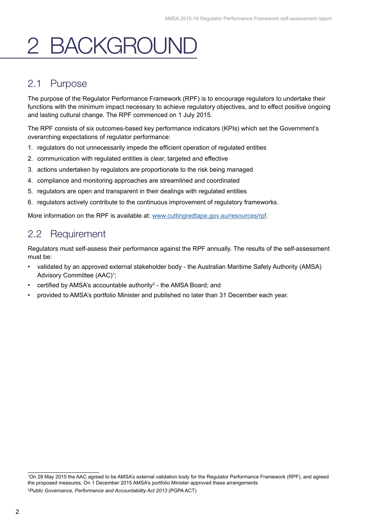## 2 BACKGROUND

#### 2.1 Purpose

The purpose of the Regulator Performance Framework (RPF) is to encourage regulators to undertake their functions with the minimum impact necessary to achieve regulatory objectives, and to effect positive ongoing and lasting cultural change. The RPF commenced on 1 July 2015.

The RPF consists of six outcomes-based key performance indicators (KPIs) which set the Government's overarching expectations of regulator performance:

- 1. regulators do not unnecessarily impede the efficient operation of regulated entities
- 2. communication with regulated entities is clear, targeted and effective
- 3. actions undertaken by regulators are proportionate to the risk being managed
- 4. compliance and monitoring approaches are streamlined and coordinated
- 5. regulators are open and transparent in their dealings with regulated entities
- 6. regulators actively contribute to the continuous improvement of regulatory frameworks.

More information on the RPF is available at: www.cuttingredtape.gov.au/resources/rpf.

#### 2.2 Requirement

Regulators must self-assess their performance against the RPF annually. The results of the self-assessment must be:

- validated by an approved external stakeholder body the Australian Maritime Safety Authority (AMSA) Advisory Committee (AAC)<sup>1</sup>;
- certified by AMSA's accountable authority<sup>2</sup> the AMSA Board; and
- provided to AMSA's portfolio Minister and published no later than 31 December each year.

<sup>1</sup> On 28 May 2015 the AAC agreed to be AMSA's external validation body for the Regulator Performance Framework (RPF), and agreed the proposed measures. On 1 December 2015 AMSA's portfolio Minister approved these arrangements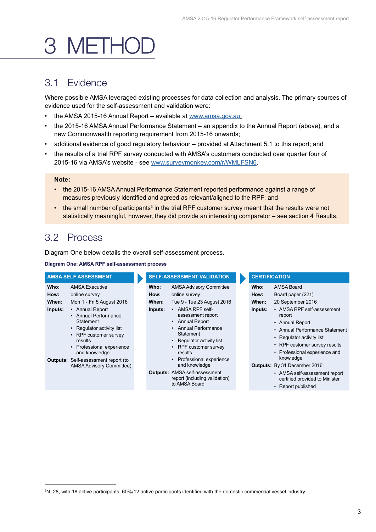## 3 METHC

#### 3.1 Evidence

Where possible AMSA leveraged existing processes for data collection and analysis. The primary sources of evidence used for the self-assessment and validation were:

- the AMSA 2015-16 Annual Report available at www.amsa.gov.au;
- the 2015-16 AMSA Annual Performance Statement an appendix to the Annual Report (above), and a new Commonwealth reporting requirement from 2015-16 onwards;
- additional evidence of good regulatory behaviour provided at Attachment 5.1 to this report; and
- the results of a trial RPF survey conducted with AMSA's customers conducted over quarter four of 2015-16 via AMSA's website - see www.surveymonkey.com/r/WMLFSN6.

#### **Note:**

- the 2015-16 AMSA Annual Performance Statement reported performance against a range of measures previously identified and agreed as relevant/aligned to the RPF; and
- the small number of participants<sup>3</sup> in the trial RPF customer survey meant that the results were not statistically meaningful, however, they did provide an interesting comparator – see section 4 Results.

#### 3.2 Process

Diagram One below details the overall self-assessment process.

**Diagram One: AMSA RPF self-assessment process**

|                                  | <b>AMSA SELF ASSESSMENT</b>                                                                                                                                                                                                                                                                                      |                                  | <b>SELF-ASSESSMENT VALIDATION</b>                                                                                                                                                                                                                                                                                                                                                        | <b>CERTIFICATION</b>             |                                                                                                                                                                                                                                                                                                                                                                                                       |
|----------------------------------|------------------------------------------------------------------------------------------------------------------------------------------------------------------------------------------------------------------------------------------------------------------------------------------------------------------|----------------------------------|------------------------------------------------------------------------------------------------------------------------------------------------------------------------------------------------------------------------------------------------------------------------------------------------------------------------------------------------------------------------------------------|----------------------------------|-------------------------------------------------------------------------------------------------------------------------------------------------------------------------------------------------------------------------------------------------------------------------------------------------------------------------------------------------------------------------------------------------------|
| Who:<br>How:<br>When:<br>Inputs: | <b>AMSA Executive</b><br>online survey<br>Mon 1 - Fri 5 August 2016<br>• Annual Report<br>• Annual Performance<br>Statement<br>Regulator activity list<br>RPF customer survey<br>results<br>• Professional experience<br>and knowledge<br><b>Outputs:</b> Self-assessment report (to<br>AMSA Advisory Committee) | Who:<br>How:<br>When:<br>Inputs: | <b>AMSA Advisory Committee</b><br>online survey<br>Tue 9 - Tue 23 August 2016<br>AMSA RPF self-<br>$\bullet$<br>assessment report<br>Annual Report<br>Annual Performance<br>Statement<br>Regulator activity list<br>RPF customer survey<br>results<br>Professional experience<br>and knowledge<br><b>Outputs: AMSA self-assessment</b><br>report (including validation)<br>to AMSA Board | Who:<br>How:<br>When:<br>Inputs: | <b>AMSA Board</b><br>Board paper (221)<br>20 September 2016<br>• AMSA RPF self-assessment<br>report<br>• Annual Report<br>• Annual Performance Statement<br>• Regulator activity list<br>• RPF customer survey results<br>• Professional experience and<br>knowledge<br><b>Outputs:</b> By 31 December 2016:<br>• AMSA self-assessment report<br>certified provided to Minister<br>• Report published |

<sup>3</sup> N=28, with 18 active participants. 60%/12 active participants identified with the domestic commercial vessel industry.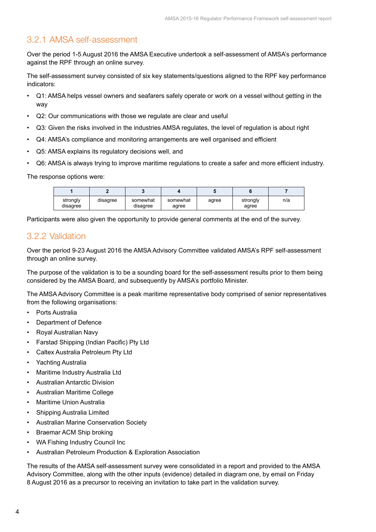#### 3.2.1 AMSA self-assessment

Over the period 1-5 August 2016 the AMSA Executive undertook a self-assessment of AMSA's performance against the RPF through an online survey.

The self-assessment survey consisted of six key statements/questions aligned to the RPF key performance indicators:

- Q1: AMSA helps vessel owners and seafarers safely operate or work on a vessel without getting in the way
- Q2: Our communications with those we regulate are clear and useful
- Q3: Given the risks involved in the industries AMSA regulates, the level of regulation is about right
- Q4: AMSA's compliance and monitoring arrangements are well organised and efficient
- Q5: AMSA explains its regulatory decisions well, and
- Q6: AMSA is always trying to improve maritime regulations to create a safer and more efficient industry.

The response options were:

| strongly<br>disagree | disagree | somewhat<br>disagree | somewhat<br>agree | agree | strongly<br>agree | n/a |
|----------------------|----------|----------------------|-------------------|-------|-------------------|-----|

Participants were also given the opportunity to provide general comments at the end of the survey.

#### 3.2.2 Validation

Over the period 9-23 August 2016 the AMSA Advisory Committee validated AMSA's RPF self-assessment through an online survey.

The purpose of the validation is to be a sounding board for the self-assessment results prior to them being considered by the AMSA Board, and subsequently by AMSA's portfolio Minister.

The AMSA Advisory Committee is a peak maritime representative body comprised of senior representatives from the following organisations:

- Ports Australia
- Department of Defence
- Royal Australian Navy
- Farstad Shipping (Indian Pacific) Pty Ltd
- Caltex Australia Petroleum Pty Ltd
- Yachting Australia
- Maritime Industry Australia Ltd
- Australian Antarctic Division
- Australian Maritime College
- Maritime Union Australia
- Shipping Australia Limited
- Australian Marine Conservation Society
- Braemar ACM Ship broking
- WA Fishing Industry Council Inc
- Australian Petroleum Production & Exploration Association

The results of the AMSA self-assessment survey were consolidated in a report and provided to the AMSA Advisory Committee, along with the other inputs (evidence) detailed in diagram one, by email on Friday 8 August 2016 as a precursor to receiving an invitation to take part in the validation survey.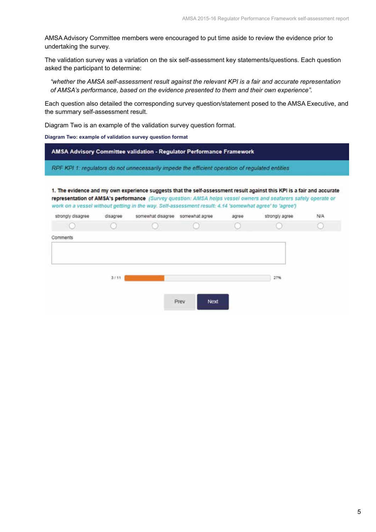AMSA Advisory Committee members were encouraged to put time aside to review the evidence prior to undertaking the survey.

The validation survey was a variation on the six self-assessment key statements/questions. Each question asked the participant to determine:

*"whether the AMSA self-assessment result against the relevant KPI is a fair and accurate representation of AMSA's performance, based on the evidence presented to them and their own experience".* 

Each question also detailed the corresponding survey question/statement posed to the AMSA Executive, and the summary self-assessment result.

Diagram Two is an example of the validation survey question format.

**Diagram Two: example of validation survey question format**

|                   |          | RPF KPI 1: regulators do not unnecessarily impede the efficient operation of regulated entities        |       |                                                                                                                                                                                                                                           |            |
|-------------------|----------|--------------------------------------------------------------------------------------------------------|-------|-------------------------------------------------------------------------------------------------------------------------------------------------------------------------------------------------------------------------------------------|------------|
|                   |          | work on a vessel without getting in the way. Self-assessment result: 4.14 'somewhat agree' to 'agree') |       | 1. The evidence and my own experience suggests that the self-assessment result against this KPI is a fair and accurate<br>representation of AMSA's performance (Survey question: AMSA helps vessel owners and seafarers safely operate or |            |
| strongly disagree | disagree | somewhat disagree somewhat agree                                                                       | agree | strongly agree                                                                                                                                                                                                                            | <b>N/A</b> |
|                   |          |                                                                                                        |       |                                                                                                                                                                                                                                           |            |
| Comments          |          |                                                                                                        |       |                                                                                                                                                                                                                                           |            |
|                   |          |                                                                                                        |       |                                                                                                                                                                                                                                           |            |
|                   |          |                                                                                                        |       |                                                                                                                                                                                                                                           |            |
|                   | 3111     |                                                                                                        |       | 27%                                                                                                                                                                                                                                       |            |
|                   |          |                                                                                                        |       |                                                                                                                                                                                                                                           |            |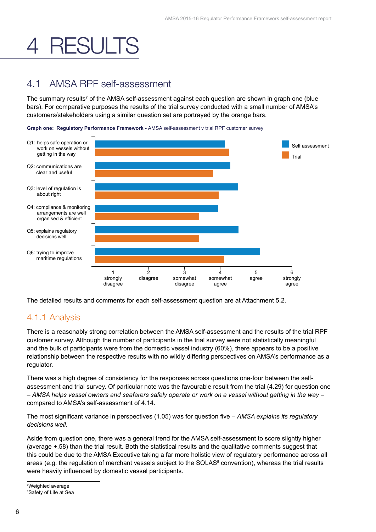## **RESULTS**

#### 4.1 AMSA RPF self-assessment

The summary results<sup>7</sup> of the AMSA self-assessment against each question are shown in graph one (blue bars). For comparative purposes the results of the trial survey conducted with a small number of AMSA's customers/stakeholders using a similar question set are portrayed by the orange bars.





The detailed results and comments for each self-assessment question are at Attachment 5.2.

#### 4.1.1 Analysis

There is a reasonably strong correlation between the AMSA self-assessment and the results of the trial RPF customer survey. Although the number of participants in the trial survey were not statistically meaningful and the bulk of participants were from the domestic vessel industry (60%), there appears to be a positive relationship between the respective results with no wildly differing perspectives on AMSA's performance as a regulator.

There was a high degree of consistency for the responses across questions one-four between the selfassessment and trial survey. Of particular note was the favourable result from the trial (4.29) for question one – *AMSA helps vessel owners and seafarers safely operate or work on a vessel without getting in the way* – compared to AMSA's self-assessment of 4.14.

The most significant variance in perspectives (1.05) was for question five – *AMSA explains its regulatory decisions well*.

Aside from question one, there was a general trend for the AMSA self-assessment to score slightly higher (average +.58) than the trial result. Both the statistical results and the qualitative comments suggest that this could be due to the AMSA Executive taking a far more holistic view of regulatory performance across all areas (e.g. the regulation of merchant vessels subject to the SOLAS<sup>8</sup> convention), whereas the trial results were heavily influenced by domestic vessel participants.

<sup>7</sup> Weighted average 8 Safety of Life at Sea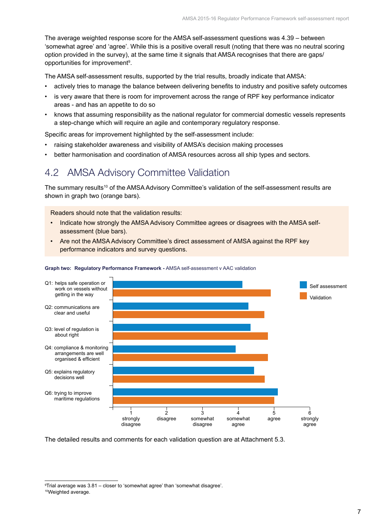The average weighted response score for the AMSA self-assessment questions was 4.39 – between 'somewhat agree' and 'agree'. While this is a positive overall result (noting that there was no neutral scoring option provided in the survey), at the same time it signals that AMSA recognises that there are gaps/ opportunities for improvement<sup>9</sup>.

The AMSA self-assessment results, supported by the trial results, broadly indicate that AMSA:

- actively tries to manage the balance between delivering benefits to industry and positive safety outcomes
- is very aware that there is room for improvement across the range of RPF key performance indicator areas - and has an appetite to do so
- knows that assuming responsibility as the national regulator for commercial domestic vessels represents a step-change which will require an agile and contemporary regulatory response.

Specific areas for improvement highlighted by the self-assessment include:

- raising stakeholder awareness and visibility of AMSA's decision making processes
- better harmonisation and coordination of AMSA resources across all ship types and sectors.

#### 4.2 AMSA Advisory Committee Validation

The summary results<sup>10</sup> of the AMSA Advisory Committee's validation of the self-assessment results are shown in graph two (orange bars).

Readers should note that the validation results:

- Indicate how strongly the AMSA Advisory Committee agrees or disagrees with the AMSA selfassessment (blue bars).
- Are not the AMSA Advisory Committee's direct assessment of AMSA against the RPF key performance indicators and survey questions.



#### **Graph two: Regulatory Performance Framework -** AMSA self-assessment v AAC validation

The detailed results and comments for each validation question are at Attachment 5.3.

<sup>9</sup> Trial average was 3.81 – closer to 'somewhat agree' than 'somewhat disagree'. 10Weighted average.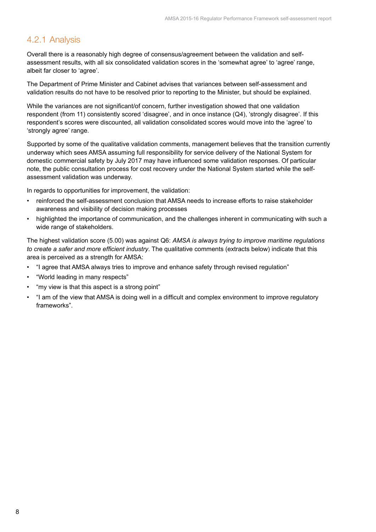#### 4.2.1 Analysis

Overall there is a reasonably high degree of consensus/agreement between the validation and selfassessment results, with all six consolidated validation scores in the 'somewhat agree' to 'agree' range, albeit far closer to 'agree'.

The Department of Prime Minister and Cabinet advises that variances between self-assessment and validation results do not have to be resolved prior to reporting to the Minister, but should be explained.

While the variances are not significant/of concern, further investigation showed that one validation respondent (from 11) consistently scored 'disagree', and in once instance (Q4), 'strongly disagree'. If this respondent's scores were discounted, all validation consolidated scores would move into the 'agree' to 'strongly agree' range.

Supported by some of the qualitative validation comments, management believes that the transition currently underway which sees AMSA assuming full responsibility for service delivery of the National System for domestic commercial safety by July 2017 may have influenced some validation responses. Of particular note, the public consultation process for cost recovery under the National System started while the selfassessment validation was underway.

In regards to opportunities for improvement, the validation:

- reinforced the self-assessment conclusion that AMSA needs to increase efforts to raise stakeholder awareness and visibility of decision making processes
- highlighted the importance of communication, and the challenges inherent in communicating with such a wide range of stakeholders.

The highest validation score (5.00) was against Q6: *AMSA is always trying to improve maritime regulations to create a safer and more efficient industry*. The qualitative comments (extracts below) indicate that this area is perceived as a strength for AMSA:

- "I agree that AMSA always tries to improve and enhance safety through revised regulation"
- "World leading in many respects"
- "my view is that this aspect is a strong point"
- "I am of the view that AMSA is doing well in a difficult and complex environment to improve regulatory frameworks".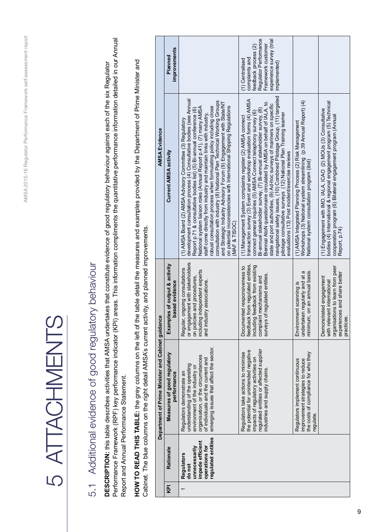## 5 ATTACHMENTS ATTACHMENTS

# 5.1 Additional evidence of good regulatory behaviour 5.1 Additional evidence of good regulatory behaviour

Performance Framework (RPF) key performance indicator (KPI) areas. This information compliments the quantitative performance information detailed in our Annual Performance Framework (RPF) key performance indicator (KPI) areas. This information compliments the quantitative performance information detailed in our Annual **DESCRIPTION:** this table describes activities that AMSA undertakes that constitute evidence of good regulatory behaviour against each of the six Regulator DESCRIPTION: this table describes activities that AMSA undertakes that constitute evidence of good regulatory behaviour against each of the six Regulator Report and Annual Performance Statement. Report and Annual Performance Statement.

**HOW TO READ THIS TABLE:** the grey columns on the left of the table detail the measures and examples provided by the Department of Prime Minister and HOW TO READ THIS TABLE: the grey columns on the left of the table detail the measures and examples provided by the Department of Prime Minister and Cabinet. The blue columns on the right detail AMSA's current activity, and planned improvements. Cabinet. The blue columns on the right detail AMSA's current activity, and planned improvements.

|                                                   | improvements<br>Planned                         |                                                                                                                                                                                                                                                                                                                                                                                                                                                                                                                                                                                                                                                                      | Regulator Performance<br>experience survey (trial<br>Framework customer<br>feedback process (2)<br>complaints and<br>(1) Centralised<br>implemented)                                                                                                                                                                                                                                                                                                                                                                                                                                                                             |                                                                                                                                                                                |                                                                                                                                                                                                                        |
|---------------------------------------------------|-------------------------------------------------|----------------------------------------------------------------------------------------------------------------------------------------------------------------------------------------------------------------------------------------------------------------------------------------------------------------------------------------------------------------------------------------------------------------------------------------------------------------------------------------------------------------------------------------------------------------------------------------------------------------------------------------------------------------------|----------------------------------------------------------------------------------------------------------------------------------------------------------------------------------------------------------------------------------------------------------------------------------------------------------------------------------------------------------------------------------------------------------------------------------------------------------------------------------------------------------------------------------------------------------------------------------------------------------------------------------|--------------------------------------------------------------------------------------------------------------------------------------------------------------------------------|------------------------------------------------------------------------------------------------------------------------------------------------------------------------------------------------------------------------|
| <b>AMSA Evidence</b>                              | <b>Current AMSA activity</b>                    | development consultation process (4) Consultative bodies (see Annual<br>consultation with industry (8) National Plan Technical Working Groups<br>and Strategic Industry Advisory Forum (9) Engagement with State/NT<br>on potential inconsistencies with International Shipping Regulations<br>robust consultation process when formulating policy including close<br>National system liaison roles (Annual Report p.41), (7) many AMSA<br>Report p.71 & consultative bodies list) (5) Bi-annual conference (6)<br>staff come directly from industry and maintain links with industry,<br>(1) AMSA Board (2) AMSA Advisory Committee (3) Regulatory<br>(MAF & TISOC) | navigational safety issues, (10) Combined Pilotage Group, (11) targeted<br>transaction survey (3) Event and workshop evaluation forms (4) AMSA<br>Biennial AtoN questionnaire circulated by AMSA on behalf of IALA, to<br>state and port authorities, (9) Ad-hoc surveys of mariners on specific<br>Bi-annual stakeholder survey, (7) Bi-annual stakeholder survey, (8)<br>connect general inquiries (5) AMSA Connect telephony survey (6)<br>pilotage consultative surveys (12) National Plan Training learner<br>(1) Management System complaints register (2) AMSA connect<br>evaluations (13) Post incident/exercise reviews | Workshops (3) National system streamlining (p.39 Annual Report) (4)<br>(1) AMSA Integrated Planning Process (2) Risk Management<br>National system consultation program (ibid) | bodies (4) International & regional engagement program (5) Technical<br>(1) Engagement with IMO, IALA, ICAO (2) MOUs (3) Consultative<br>cooperation program (6) Bilateral engagement program (Annual<br>Report, p.74) |
|                                                   | Examples of output & activity<br>based evidence | or engagement with stakeholders<br>Regular, ongoing consultations<br>including independent experts<br>on policies and procedures,<br>and industry associations.                                                                                                                                                                                                                                                                                                                                                                                                                                                                                                      | feedback from regulated entities,<br>feedback from existing<br>Documented responsiveness to<br>surveys of regulated entities.<br>complaint mechanisms and<br>including                                                                                                                                                                                                                                                                                                                                                                                                                                                           | minimum, on an annual basis.<br>undertaken regularly and at a<br>Environment scanning is                                                                                       | organisations to learn from peer<br>experiences and share better<br>Demonstrated engagement<br>with relevant international<br>practices                                                                                |
| Department of Prime Minister and Cabinet guidance | Measures of good regulatory<br>performance      | emerging issues that affect the sector<br>organisation, or the circumstances<br>of individuals and the current and<br>understanding of the operating<br>environment of the industry or<br>Regulators demonstrate an                                                                                                                                                                                                                                                                                                                                                                                                                                                  | regulated entities or affected supplier<br>the potential for unintended negative<br>Regulators take actions to minimise<br>impacts of regulatory activities on<br>industries and supply chains                                                                                                                                                                                                                                                                                                                                                                                                                                   | the costs of compliance for who they<br>improvement strategies to reduce<br>Regulators implement continuous<br>regulate.                                                       |                                                                                                                                                                                                                        |
|                                                   | Rationale                                       | regulated entities<br>impede efficient<br>operations for<br>unnecessarily<br><b>Regulators</b><br>do not                                                                                                                                                                                                                                                                                                                                                                                                                                                                                                                                                             |                                                                                                                                                                                                                                                                                                                                                                                                                                                                                                                                                                                                                                  |                                                                                                                                                                                |                                                                                                                                                                                                                        |
|                                                   | ΚPΙ                                             |                                                                                                                                                                                                                                                                                                                                                                                                                                                                                                                                                                                                                                                                      |                                                                                                                                                                                                                                                                                                                                                                                                                                                                                                                                                                                                                                  |                                                                                                                                                                                |                                                                                                                                                                                                                        |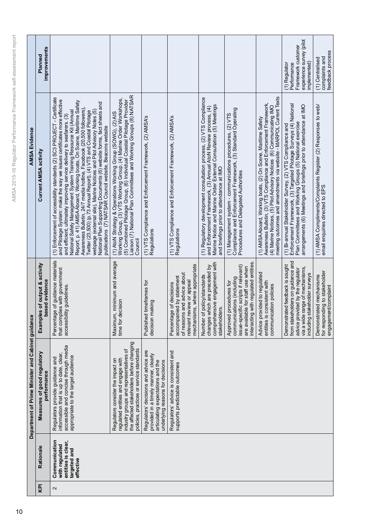|                                                   | improvements<br>Planned                         |                                                                                                                                                                                                                                                                                                                                                                                                                                                                                                                                                                                                                                                                                                                                      |                                                                                                                                                                                                                                                                                             |                                                                                                                                                       |                                                                                                                                                  |                                                                                                                                                                                                                                                        |                                                                                                                                                                         |                                                                                                                                                                                                                                                                                  | experience survey (pilot<br>Framework customer<br>implemented)<br>(1) Regulator<br>Performance                                                                                                                                                                  | feedback process<br>complaints and<br>(1) Centralised                                             |
|---------------------------------------------------|-------------------------------------------------|--------------------------------------------------------------------------------------------------------------------------------------------------------------------------------------------------------------------------------------------------------------------------------------------------------------------------------------------------------------------------------------------------------------------------------------------------------------------------------------------------------------------------------------------------------------------------------------------------------------------------------------------------------------------------------------------------------------------------------------|---------------------------------------------------------------------------------------------------------------------------------------------------------------------------------------------------------------------------------------------------------------------------------------------|-------------------------------------------------------------------------------------------------------------------------------------------------------|--------------------------------------------------------------------------------------------------------------------------------------------------|--------------------------------------------------------------------------------------------------------------------------------------------------------------------------------------------------------------------------------------------------------|-------------------------------------------------------------------------------------------------------------------------------------------------------------------------|----------------------------------------------------------------------------------------------------------------------------------------------------------------------------------------------------------------------------------------------------------------------------------|-----------------------------------------------------------------------------------------------------------------------------------------------------------------------------------------------------------------------------------------------------------------|---------------------------------------------------------------------------------------------------|
| <b>AMSA Evidence</b>                              | Current AMSA activity                           | (1) Enforcement of accessibility standards (2) SC3 PROJECT - Certificate<br>and Pilotage System: make the way we issues certificates more effective<br>Report, p. 41) AMSA Aboard, Working boats, On Scene, Maritime Safety<br>National Plan Supporting Documents (6) website forms, fact sheets and<br>publications (7) NATSAR Council website, Beacons website<br>Awareness Bulletin, 24/7 media hotline, Facebook (20,500 followers),<br>webpage (external site), Marine Notices and Pilot Advisory Notes (5)<br>National Safety Management System Training Resource Kit (Annual<br>Twitter (23,500) (p.73 Annual Report), (4) VTS and Coastal Pilotage<br>and efficient, ultimately improving service delivery to seafarers. (3) | Liaison (7) National Plan Committees and Working Groups (8) NATSAR<br>(1) AtoN Strategy & Operations Working Group (SOWG), (2) AIS<br>Working Group, (3) VTS Working Group, (4) Marine Order Workshops,<br>(5) Combined Pildtage Group, (6) Individual Coastal Pildtage Provider<br>Council | (1) VTS Compliance and Enforcement Framework, (2) AMSA's<br>Regulations                                                                               | (1) VTS Compliance and Enforcement Framework, (2) AMSA's<br>Regulations                                                                          | (1) Regulatory development consultation process, (2) VTS Compliance<br>Marine Notice and Marine Order External Consultation (5) Meetings<br>and Enforcement Framework, (3) Annual AtoN Review process, (4)<br>and briefings prior to attendance at IMO | Compliance and Enforcement Framework, (3) Standard Operating<br>(1) Management system - communications procedures, (2) VTS<br>Procedures and Delegated Authorities      | meeting outcomes and amendments via website - MARPOL Current Texts<br>Awareness Bulletin, (3) VTS Compliance and Enforcement Framework,<br>(4) Marine Notices, (5) Pilot Advisory Notices (6) Communicating IMO<br>(1) AMSA Aboard, Working boats, (2) On Scene, Maritime Safety | (1) Bi-annual Stakeholder Survey, (2) VTS Compliance and<br>Enforcement Framework, (3) Targeted Pilotage Surveys (4) National<br>arrangements (6) Meetings and briefings prior to attendance at IMO<br>Plan Committees and Working Groups (5) National exercise | (1) AMSA Compliments/Complaints Register (2) Responses to web/<br>email enquiries directed to EPS |
|                                                   | Examples of output & activity<br>based evidence | Percentage of guidance materials<br>that complies with government<br>accessibility guidelines.                                                                                                                                                                                                                                                                                                                                                                                                                                                                                                                                                                                                                                       | Maximum, minimum and average<br>time for decision                                                                                                                                                                                                                                           | Published timeframes for<br>decision making                                                                                                           | mechanisms, where appropriate<br>of reasons and advice about<br>accompanied by statement<br>relevant review or appeal<br>Percentage of decisions | comprehensive engagement with<br>changes which are preceded by<br>Number of policy/standards<br>stakeholders.                                                                                                                                          | interacting with regulated entities.<br>issue-specific scripts if relevant)<br>are available for staff use when<br>communications (including<br>Approved procedures for | provided to regulated<br>is consistent with<br>communication policies<br>Advice p<br>entities                                                                                                                                                                                    | from stakeholders on guidance and<br>Demonstrated feedback is sought<br>via a wide range of mechanisms,<br>advice provided by the regulator<br>including stakeholder surveys                                                                                    | for responding to stakeholder<br>engagement/complaint<br>Demonstrated mechanisms                  |
| Department of Prime Minister and Cabinet guidance | Measures of good regulatory<br>performance      | accessible and concise through media<br>information that is up to date, clear,<br>appropriate to the target audience<br>Regulators provide guidance and                                                                                                                                                                                                                                                                                                                                                                                                                                                                                                                                                                              | the affected stakeholders before changing<br>policies, practices or service standards<br>industry groups and representatives of<br>regulated entities and engage with<br>Regulators consider the impact on                                                                                  | Regulators' decisions and advice are<br>provided in a timely manner, clearly<br>articulating expectations and the<br>underlying reasons for decisions | Regulators' advice is consistent and<br>supports predictable outcomes                                                                            |                                                                                                                                                                                                                                                        |                                                                                                                                                                         |                                                                                                                                                                                                                                                                                  |                                                                                                                                                                                                                                                                 |                                                                                                   |
|                                                   | Rationale                                       | Communication<br>entities is clear,<br>with regulated<br>targeted and<br>effective                                                                                                                                                                                                                                                                                                                                                                                                                                                                                                                                                                                                                                                   |                                                                                                                                                                                                                                                                                             |                                                                                                                                                       |                                                                                                                                                  |                                                                                                                                                                                                                                                        |                                                                                                                                                                         |                                                                                                                                                                                                                                                                                  |                                                                                                                                                                                                                                                                 |                                                                                                   |
|                                                   | ΚPΙ                                             | $\sim$                                                                                                                                                                                                                                                                                                                                                                                                                                                                                                                                                                                                                                                                                                                               |                                                                                                                                                                                                                                                                                             |                                                                                                                                                       |                                                                                                                                                  |                                                                                                                                                                                                                                                        |                                                                                                                                                                         |                                                                                                                                                                                                                                                                                  |                                                                                                                                                                                                                                                                 |                                                                                                   |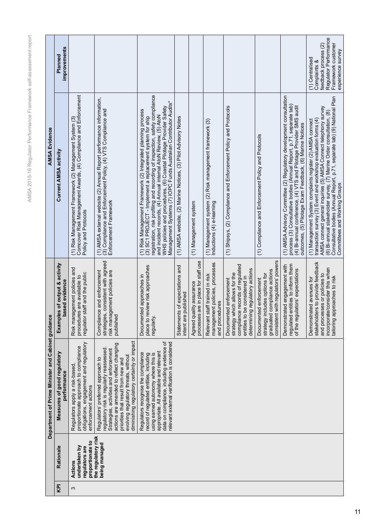AMSA 2015-16 Regulator Performance Framework self-assessment report AMSA 2015-16 Regulator Performance Framework self-assessment report

|    |                                                                | Department of Prime Minister and Cabinet guidance                                                                                                                                                                                                                                              |                                                                                                                                                                   | <b>AMSA Evidence</b>                                                                                                                                                                                                                                                                                                                                                                                                   |                                                                                                                             |
|----|----------------------------------------------------------------|------------------------------------------------------------------------------------------------------------------------------------------------------------------------------------------------------------------------------------------------------------------------------------------------|-------------------------------------------------------------------------------------------------------------------------------------------------------------------|------------------------------------------------------------------------------------------------------------------------------------------------------------------------------------------------------------------------------------------------------------------------------------------------------------------------------------------------------------------------------------------------------------------------|-----------------------------------------------------------------------------------------------------------------------------|
| ΚP | Rationale                                                      | Measures of good regulatory<br>performance                                                                                                                                                                                                                                                     | ples of output & activity<br>based evidence<br>Exam                                                                                                               | Current AMSA activity                                                                                                                                                                                                                                                                                                                                                                                                  | improvements<br>Planned                                                                                                     |
| ω  | proportionate to<br>undertaken by<br>regulators are<br>Actions | obligations, engagement and regulatory<br>proportionate approach to compliance<br>Regulators apply a risk-based,<br>enforcement actions                                                                                                                                                        | Risk management policies and<br>regulator staff and the public<br>procedures are available to                                                                     | Comcover Risk Management Awards, (4) Compliance and Enforcement<br>(1) Risk Management Framework (2) Management System (3)<br>Policy and Protocols                                                                                                                                                                                                                                                                     |                                                                                                                             |
|    | the regulatory risk<br>being managed                           | diminishing regulatory certainty or impact<br>actions are amended to reflect changing<br>regulatory risk is regularly reassessed<br>Strategies, activities and enforcement<br>evolving regulatory threats, without<br>Regulators' preferred approach to<br>priorities that result from new and | strategies, consistent with agreed<br>Compliance and enforcement<br>risk management policies are<br>published                                                     | (1) AMSA external website (2) Annual Report performance information,<br>(3) Compliance and Enforcement Policy, (4) VTS Compliance and<br>Enforcement Framework                                                                                                                                                                                                                                                         |                                                                                                                             |
|    |                                                                | data on compliance, including evidence of<br>relevant external verification is considered<br>appropriate. All available and relevant<br>Regulators recognise the compliance<br>record of regulated entities, including<br>using earned autonomy where this is                                  | place to review risk approaches<br>Documented approaches in<br>regularly.                                                                                         | registration, risk profiling and recording of inspection, safety compliance<br>Vlanagement Systems (7) IOPC Funds Australian Contributor Audits*<br>WHS policies and procedures, (6) Coastal Pilotage Provider Safety<br>(1) Risk Management Framework (2) Integrated planning process<br>and incident records, (4) Annual internal AtoN Review, (5) AtoN<br>(3) SC1 PROJECT - Implement a replacement system for ship |                                                                                                                             |
|    |                                                                |                                                                                                                                                                                                                                                                                                | Statements of expectations and<br>intent are published                                                                                                            | (1) AMSA website, (2) Marine Notices, (3) Pilot Advisory Notes                                                                                                                                                                                                                                                                                                                                                         |                                                                                                                             |
|    |                                                                |                                                                                                                                                                                                                                                                                                | processes are in place for staff use<br>quality assurance<br>Agreed                                                                                               | (1) Management system                                                                                                                                                                                                                                                                                                                                                                                                  |                                                                                                                             |
|    |                                                                |                                                                                                                                                                                                                                                                                                | management policies, processes<br>Relevant staff trained in risk<br>and procedures                                                                                | (1) Management system (2) Risk management framework (3)<br>Inductions (4) e-learning                                                                                                                                                                                                                                                                                                                                   |                                                                                                                             |
|    |                                                                |                                                                                                                                                                                                                                                                                                | compliance records of regulated<br>determining regulatory actions<br>strategy which allows for the<br>entities to be considered in<br>Documented enforcement      | (1) Shipsys, (2) Compliance and Enforcement Policy and Protocols                                                                                                                                                                                                                                                                                                                                                       |                                                                                                                             |
|    |                                                                |                                                                                                                                                                                                                                                                                                | ent with regulators' powers<br>graduated compliance actions<br>strategy includes options for<br>Documented enforcement<br>consiste                                | (1) Compliance and Enforcement Policy and Protocols                                                                                                                                                                                                                                                                                                                                                                    |                                                                                                                             |
|    |                                                                |                                                                                                                                                                                                                                                                                                | regulated entities to inform them<br>Demonstrated engagement with<br>of the regulators' expectations                                                              | (1) AMSA Advisory Committee (2) Regulatory development consultation<br>process (3) Consultative bodies (Annual Report, p.71, separate tab)<br>(4) Bi-annual conference, (4) VTS and Pilotage Provider SMS audit<br>outcomes, (5) Pilotage Exam Feedback, (6) Marine Notices                                                                                                                                            |                                                                                                                             |
|    |                                                                |                                                                                                                                                                                                                                                                                                | stakeholders to provide feedback<br>incorporate/consider this when<br>and processes or policies to<br>approaches to risk<br>Demonstrated avenues for<br>tailoring | Consultative bodies (Annual Report, p.71, separate tab) (9) National Plan<br>AMSA connect general inquiries (5) AMSA Connect telephony survey<br>(6) Bi-annual stakeholder survey, (7) Marine Order consultation, (8)<br>transaction survey (3) Event and workshop evaluation forms (4)<br>(1) Management System complaints register (2) AMSA connect<br>Committees and Working Groups                                 | Regulator Performance<br>Framework customer<br>feedback process (2)<br>experience survey<br>(1) Centralised<br>Complaints & |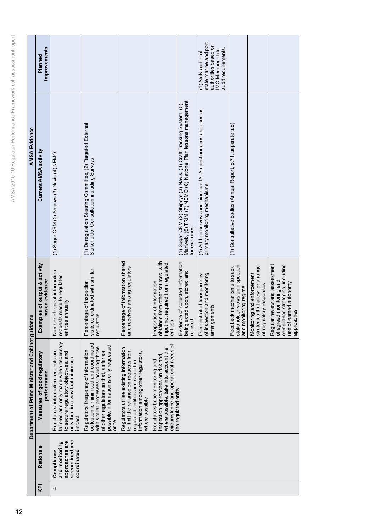|                                                   | improvements<br>Planned                         |                                                                                                                                                                     |                                                                                                                                                                                                                        |                                                                                                                                                                                |                                                                                                                                                        |                                                                                                                                                         | state marine and port<br>authorities based on<br>IMO Member state<br>audit requirements.<br>(1) AtoN audits of |                                                                                         |                                                                                            |                                                                                                                                          |
|---------------------------------------------------|-------------------------------------------------|---------------------------------------------------------------------------------------------------------------------------------------------------------------------|------------------------------------------------------------------------------------------------------------------------------------------------------------------------------------------------------------------------|--------------------------------------------------------------------------------------------------------------------------------------------------------------------------------|--------------------------------------------------------------------------------------------------------------------------------------------------------|---------------------------------------------------------------------------------------------------------------------------------------------------------|----------------------------------------------------------------------------------------------------------------|-----------------------------------------------------------------------------------------|--------------------------------------------------------------------------------------------|------------------------------------------------------------------------------------------------------------------------------------------|
| <b>AMSA Evidence</b>                              | Current AMSA activity                           | (1) Sugar CRM (2) Shipsys (3) Navis (4) NEMO                                                                                                                        | (1) Deregulation Steering Committee, (2) Targeted External<br>Stakeholder Consultation including Surveys                                                                                                               |                                                                                                                                                                                |                                                                                                                                                        | (1) Sugar CRM (2) Shipsys (3) Navis, (4) Craft Tracking System, (5)<br>Mariweb, (6) TRIM (7) NEMO (8) National Plan lessons management<br>for exercises | (1) Ad-hoc surveys and biannual IALA questionnaires are used as<br>primary monitoring mechanisms               | (1) Consultative bodies (Annual Report, p.71, separate tab)                             |                                                                                            |                                                                                                                                          |
|                                                   | Examples of output & activity<br>based evidence | of repeat information<br>requests made to regulated<br>entities annually<br>Number                                                                                  | visits co-ordinated with similar<br>Percentage of inspection<br>regulators                                                                                                                                             | Percentage of information shared<br>and received among regulators                                                                                                              | from other sources, with<br>required from regulated<br>Proportion of information<br>obtained<br>input not<br>entities                                  | Evidence of collected information<br>being acted upon, stored and<br>re-used                                                                            | of inspection and monitoring<br>Demonstrated transparency<br>arrangements                                      | stakeholder views on inspection<br>Feedback mechanisms to seek<br>and monitoring regime | strategies that allow for a range<br>Monitoring and enforcement<br>of regulatory responses | review and assessment<br>compliance strategies, including<br>of agreed monitoring and<br>use of earned autonomy<br>approaches<br>Regular |
| Department of Prime Minister and Cabinet guidance | Measures of good regulatory<br>performance      | tailored and only made when necessary<br>Regulators' information requests are<br>to secure regulatory objectives, and<br>only then in a way that minimises<br>mpact | collection is minimised and coordinated<br>possible, information is only requested<br>with similar processes including those<br>Regulators' frequency of information<br>of other regulators so that, as far as<br>once | Regulators utilise existing information<br>to limit the reliance on requests from<br>information among other regulators,<br>regulated entities and share the<br>where possible | circumstance and operational needs of<br>where possible, take into account the<br>inspection approaches on risk and,<br>Regulators base monitoring and | the regulated entity                                                                                                                                    |                                                                                                                |                                                                                         |                                                                                            |                                                                                                                                          |
|                                                   | Rationale                                       | streamlined and<br>approaches are<br>and monitoring<br>coordinated<br>Compliance                                                                                    |                                                                                                                                                                                                                        |                                                                                                                                                                                |                                                                                                                                                        |                                                                                                                                                         |                                                                                                                |                                                                                         |                                                                                            |                                                                                                                                          |
|                                                   | ΚPΙ                                             | 4                                                                                                                                                                   |                                                                                                                                                                                                                        |                                                                                                                                                                                |                                                                                                                                                        |                                                                                                                                                         |                                                                                                                |                                                                                         |                                                                                            |                                                                                                                                          |
|                                                   |                                                 |                                                                                                                                                                     |                                                                                                                                                                                                                        |                                                                                                                                                                                |                                                                                                                                                        |                                                                                                                                                         |                                                                                                                |                                                                                         |                                                                                            |                                                                                                                                          |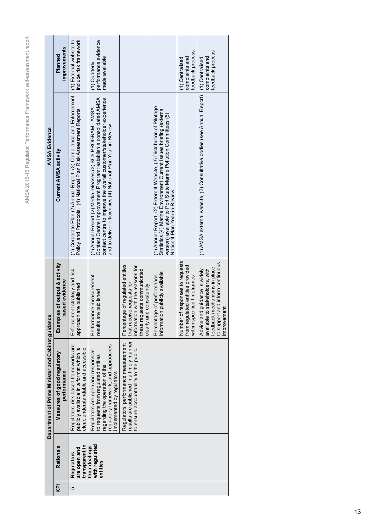| ۱                             |
|-------------------------------|
| $\overline{\phantom{a}}$<br>j |
|                               |
| $\epsilon$                    |
| $\epsilon$                    |
| ١                             |
|                               |
| ě                             |
| ļ                             |
| $\overline{\phantom{a}}$<br>) |
| Ś                             |
| Ś                             |
| Ć<br>J                        |
|                               |
|                               |
| うりり<br>ă                      |
| J<br>U                        |
| ŭ<br>C                        |
|                               |
| ā<br>j                        |
| I                             |
| ≝                             |
| $\overline{\mathbb{O}}$       |
| ū<br>j                        |
|                               |
| ï                             |
| ī                             |
|                               |
| ¢<br>$\lambda$                |
| ì,<br>é<br>ś                  |
|                               |
| Ć<br>¢                        |
| -<br>Ş                        |
|                               |
| ż<br>$\overline{\phantom{a}}$ |
| š                             |
| I                             |
|                               |
| j<br>Ó                        |
|                               |
| $\overline{\phantom{a}}$<br>Ć |
| Š                             |
| l                             |
| 5                             |
| Į                             |
| i                             |
| Ì                             |
| I<br>j                        |
| 4                             |
|                               |
| I<br>١                        |
| ١<br>I                        |
|                               |
| ş                             |
| Ć                             |
| G<br>ă                        |
| ã<br>5<br>I                   |
| i.                            |
| ī<br>ì                        |
|                               |
| ļ<br>5<br>j                   |
| j<br>đ                        |
| ë                             |
| I                             |
|                               |
| ij<br>I<br>١                  |
|                               |
| Ï                             |
|                               |
| ι<br>J<br>j                   |
| ₹                             |
| Ć<br>j                        |
|                               |
| d                             |
|                               |
| d                             |
|                               |
| J<br>¢                        |
| ÷                             |
| d                             |
| ⊲                             |
|                               |
|                               |

|   |                                                     | Department of Prime Minister and Cabinet guidance                                                                                                                                |                                                                                                                                                              | <b>AMSA Evidence</b>                                                                                                                                                                                                                                                      |                                                         |
|---|-----------------------------------------------------|----------------------------------------------------------------------------------------------------------------------------------------------------------------------------------|--------------------------------------------------------------------------------------------------------------------------------------------------------------|---------------------------------------------------------------------------------------------------------------------------------------------------------------------------------------------------------------------------------------------------------------------------|---------------------------------------------------------|
| ē | Rationale                                           | Measures of good regulatory<br>performance                                                                                                                                       | ples of output & activity<br>based evidence<br>Examp                                                                                                         | Current AMSA activity                                                                                                                                                                                                                                                     | <b>improvements</b><br>Planned                          |
| 5 | transparent in<br>are open and<br><b>Regulators</b> | Requiators' risk-based frameworks are<br>clear, understandable and accessible<br>publicly available in a format which is                                                         | Enforcement strategy and risk<br>approach are published                                                                                                      | (1) Corporate Plan (2) Annual Report, (3) Compliance and Enforcement<br>Policy and Protocols, (4) National Plan Risk Assessment Reports                                                                                                                                   | include risk framework<br>(1) External website to       |
|   | with regulated<br>their dealings<br>entities        | regulatory framework, and approaches<br>Regulators are open and responsive<br>to requests from regulated entities<br>regarding the operation of the<br>implemented by regulators | Performance measurement<br>results are published                                                                                                             | Contact Centre Improvement Program: establish a consolidated AMSA<br>contact centre to improve the overall customer/stakeholder experience<br>(1) Annual Report (2) Media releases (3) SC5 PROGRAM - AMSA<br>and to deliver efficiencies (4) National Plan Year-in-Review | performance evidence<br>made available<br>(1) Quarterly |
|   |                                                     | results are published in a timely manner<br>Regulators' performance measurement<br>to ensure accountability to the public.                                                       | Percentage of regulated entities<br>information with the reasons for<br>these requests communicated<br>that receive requests for<br>clearly and consistently |                                                                                                                                                                                                                                                                           |                                                         |
|   |                                                     |                                                                                                                                                                                  | information publicly available<br>Percentage of performance                                                                                                  | (1) Annual Report, (2) External Website, (3) Distribution of Pilotage<br>Statistics (4) Marine Environment Current Issues briefing (external<br>version) available to Port State Marine Pollution Committees (5)<br>National Plan Year-in-Review                          |                                                         |
|   |                                                     |                                                                                                                                                                                  | Number of responses to requests<br>from regulated entities provided<br>within specified timeframes                                                           |                                                                                                                                                                                                                                                                           | feedback process<br>complaints and<br>(1) Centralised   |
|   |                                                     |                                                                                                                                                                                  | to support and inform continuous<br>feedback mechanisms in place<br>Advice and guidance is widely<br>available to stakeholders, with<br>improvement          | (1) AMSA external website, (2) Consultative bodies (see Annual Report)                                                                                                                                                                                                    | feedback process<br>complaints and<br>(1) Centralised   |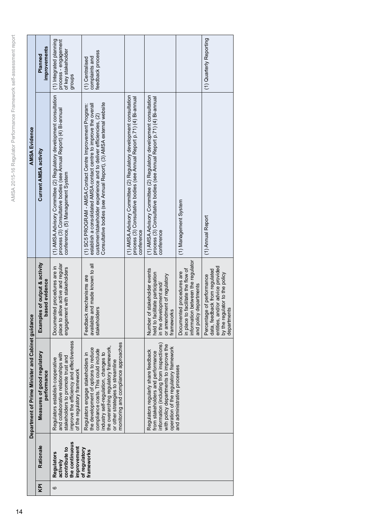|                                                   | improvements<br>Planned                         | (1) Integrated planning<br>process - engagement<br>of key stakeholder<br>groups                                                                                                          | feedback process<br>complaints and<br>(1) Centralised                                                                                                                                                                                                                           |                                                                                                                                                             |                                                                                                                                                                                                         |                                                                                                                                | (1) Quarterly Reporting                                                                                                                         |
|---------------------------------------------------|-------------------------------------------------|------------------------------------------------------------------------------------------------------------------------------------------------------------------------------------------|---------------------------------------------------------------------------------------------------------------------------------------------------------------------------------------------------------------------------------------------------------------------------------|-------------------------------------------------------------------------------------------------------------------------------------------------------------|---------------------------------------------------------------------------------------------------------------------------------------------------------------------------------------------------------|--------------------------------------------------------------------------------------------------------------------------------|-------------------------------------------------------------------------------------------------------------------------------------------------|
| <b>AMSA Evidence</b>                              | <b>Current AMSA activity</b>                    | (1) AMSA Advisory Committee (2) Regulatory development consultation<br>process (3) Consultative bodies (see Annual Report) (4) Bi-annual<br>conference, (5) Management System            | Consultative bodies (see Annual Report), (3) AMSA external website<br>(1) SC5 PROGRAM - AMSA Contact Centre Improvement Program:<br>establish a consolidated AMSA contact centre to improve the overall<br>customer/stakeholder experience and to deliver efficiencies, (2)     | (1) AMSA Advisory Committee (2) Regulatory development consultation<br>process (3) Consultative bodies (see Annual Report p.71) (4) Bi-annual<br>conference | (1) AMSA Advisory Committee (2) Regulatory development consultation<br>process (3) Consultative bodies (see Annual Report p.71) (4) Bi-annual<br>conference                                             | (1) Management System                                                                                                          | (1) Annual Report                                                                                                                               |
|                                                   | Examples of output & activity<br>based evidence | place to allow active and regular<br>Documented procedures are in<br>engagement with stakeholders                                                                                        | available and made known to all<br>Feedback mechanisms are<br>stakeholders                                                                                                                                                                                                      |                                                                                                                                                             | Number of stakeholder events<br>held to facilitate participation<br>or amendment of regulatory<br>in the development and/<br>frameworks                                                                 | information between the regulator<br>in place to facilitate the flow of<br>Documented procedures are<br>and policy departments | entities, and/or advice provided<br>data, feedback from regulated<br>by the regulator to the policy<br>Percentage of performance<br>departments |
| Department of Prime Minister and Cabinet guidance | Measures of good regulatory<br>performance      | improve the efficiency and effectiveness<br>and collaborative relationships with<br>stakeholders to promote trust and<br>Regulators establish cooperative<br>of the regulatory framework | monitoring and compliance approaches<br>the overarching regulatory framework,<br>the development of options to reduce<br>compliance costs. This could include<br>industry self-regulation, changes to<br>Regulators engage stakeholders in<br>or other strategies to streamline |                                                                                                                                                             | information (including from inspections)<br>with policy departments to improve the<br>operation of the regulatory framework<br>Regulators regularly share feedback<br>from stakeholders and performance | and administrative processes                                                                                                   |                                                                                                                                                 |
|                                                   | Rationale                                       | the continuous<br>improvement<br>contribute to<br><b>Regulators</b><br>actively                                                                                                          | of regulatory<br>frameworks                                                                                                                                                                                                                                                     |                                                                                                                                                             |                                                                                                                                                                                                         |                                                                                                                                |                                                                                                                                                 |
|                                                   | Κpι                                             | ဖ                                                                                                                                                                                        |                                                                                                                                                                                                                                                                                 |                                                                                                                                                             |                                                                                                                                                                                                         |                                                                                                                                |                                                                                                                                                 |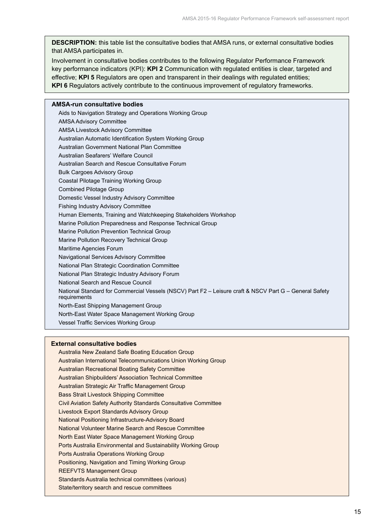**DESCRIPTION:** this table list the consultative bodies that AMSA runs, or external consultative bodies that AMSA participates in.

Involvement in consultative bodies contributes to the following Regulator Performance Framework key performance indicators (KPI): **KPI 2** Communication with regulated entities is clear, targeted and effective; **KPI 5** Regulators are open and transparent in their dealings with regulated entities; **KPI 6** Regulators actively contribute to the continuous improvement of regulatory frameworks.

#### **AMSA-run consultative bodies**

Aids to Navigation Strategy and Operations Working Group AMSA Advisory Committee AMSA Livestock Advisory Committee Australian Automatic Identification System Working Group Australian Government National Plan Committee Australian Seafarers' Welfare Council Australian Search and Rescue Consultative Forum Bulk Cargoes Advisory Group Coastal Pilotage Training Working Group Combined Pilotage Group Domestic Vessel Industry Advisory Committee Fishing Industry Advisory Committee Human Elements, Training and Watchkeeping Stakeholders Workshop Marine Pollution Preparedness and Response Technical Group Marine Pollution Prevention Technical Group Marine Pollution Recovery Technical Group Maritime Agencies Forum Navigational Services Advisory Committee National Plan Strategic Coordination Committee National Plan Strategic Industry Advisory Forum National Search and Rescue Council National Standard for Commercial Vessels (NSCV) Part F2 – Leisure craft & NSCV Part G – General Safety requirements North-East Shipping Management Group North-East Water Space Management Working Group Vessel Traffic Services Working Group

#### **External consultative bodies**

Australia New Zealand Safe Boating Education Group Australian International Telecommunications Union Working Group Australian Recreational Boating Safety Committee Australian Shipbuilders' Association Technical Committee Australian Strategic Air Traffic Management Group Bass Strait Livestock Shipping Committee Civil Aviation Safety Authority Standards Consultative Committee Livestock Export Standards Advisory Group National Positioning Infrastructure-Advisory Board National Volunteer Marine Search and Rescue Committee North East Water Space Management Working Group Ports Australia Environmental and Sustainability Working Group Ports Australia Operations Working Group Positioning, Navigation and Timing Working Group REEFVTS Management Group Standards Australia technical committees (various) State/territory search and rescue committees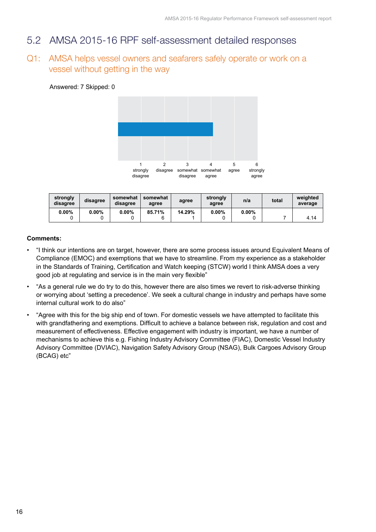#### 5.2 AMSA 2015-16 RPF self-assessment detailed responses

#### Q1: AMSA helps vessel owners and seafarers safely operate or work on a vessel without getting in the way

#### Answered: 7 Skipped: 0



| strongly<br>disagree | disagree | somewhat<br>disagree | somewhat<br>agree | agree  | strongly<br>agree | n/a      | total | weighted<br>average |
|----------------------|----------|----------------------|-------------------|--------|-------------------|----------|-------|---------------------|
| $0.00\%$             | $0.00\%$ | $0.00\%$             | 85.71%            | 14.29% | $0.00\%$          | $0.00\%$ |       | 4.14                |

- "I think our intentions are on target, however, there are some process issues around Equivalent Means of Compliance (EMOC) and exemptions that we have to streamline. From my experience as a stakeholder in the Standards of Training, Certification and Watch keeping (STCW) world I think AMSA does a very good job at regulating and service is in the main very flexible"
- "As a general rule we do try to do this, however there are also times we revert to risk-adverse thinking or worrying about 'setting a precedence'. We seek a cultural change in industry and perhaps have some internal cultural work to do also"
- "Agree with this for the big ship end of town. For domestic vessels we have attempted to facilitate this with grandfathering and exemptions. Difficult to achieve a balance between risk, regulation and cost and measurement of effectiveness. Effective engagement with industry is important, we have a number of mechanisms to achieve this e.g. Fishing Industry Advisory Committee (FIAC), Domestic Vessel Industry Advisory Committee (DVIAC), Navigation Safety Advisory Group (NSAG), Bulk Cargoes Advisory Group (BCAG) etc"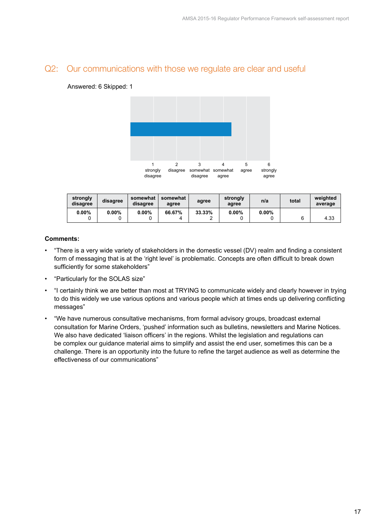#### Q2: Our communications with those we regulate are clear and useful

#### 1 strongly disagree 2 disagree 3 somewhat somewhat disagree 4 agree 5 agree 6 strongly agree

| strongly<br>disagree | disagree | somewhat<br>disagree | somewhat<br>agree | agree  | strongly<br>agree | n/a      | total | weighted<br>average |
|----------------------|----------|----------------------|-------------------|--------|-------------------|----------|-------|---------------------|
| $0.00\%$             | $0.00\%$ | 0.00%                | 66.67%<br>4       | 33.33% | $0.00\%$          | $0.00\%$ |       | 4.33                |

#### **Comments:**

- "There is a very wide variety of stakeholders in the domestic vessel (DV) realm and finding a consistent form of messaging that is at the 'right level' is problematic. Concepts are often difficult to break down sufficiently for some stakeholders"
- "Particularly for the SOLAS size"

Answered: 6 Skipped: 1

- "I certainly think we are better than most at TRYING to communicate widely and clearly however in trying to do this widely we use various options and various people which at times ends up delivering conflicting messages"
- "We have numerous consultative mechanisms, from formal advisory groups, broadcast external consultation for Marine Orders, 'pushed' information such as bulletins, newsletters and Marine Notices. We also have dedicated 'liaison officers' in the regions. Whilst the legislation and regulations can be complex our guidance material aims to simplify and assist the end user, sometimes this can be a challenge. There is an opportunity into the future to refine the target audience as well as determine the effectiveness of our communications"

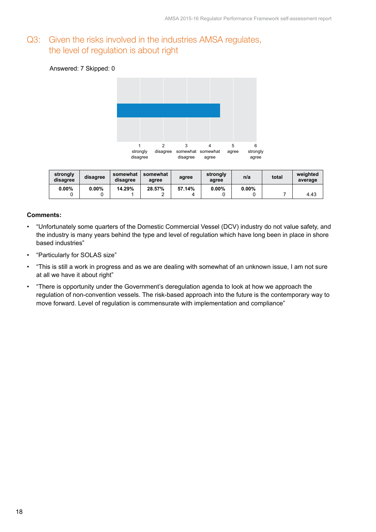#### Q3: Given the risks involved in the industries AMSA regulates, the level of regulation is about right

#### Answered: 7 Skipped: 0



| strongly<br>disagree | disagree | somewhat<br>disagree | somewhat<br>agree | agree  | strongly<br>agree | n/a      | total | weighted<br>average |
|----------------------|----------|----------------------|-------------------|--------|-------------------|----------|-------|---------------------|
| $0.00\%$             | $0.00\%$ | 14.29%               | 28.57%            | 57.14% | $0.00\%$          | $0.00\%$ |       | 4.43                |

- "Unfortunately some quarters of the Domestic Commercial Vessel (DCV) industry do not value safety, and the industry is many years behind the type and level of regulation which have long been in place in shore based industries"
- "Particularly for SOLAS size"
- "This is still a work in progress and as we are dealing with somewhat of an unknown issue, I am not sure at all we have it about right"
- "There is opportunity under the Government's deregulation agenda to look at how we approach the regulation of non-convention vessels. The risk-based approach into the future is the contemporary way to move forward. Level of regulation is commensurate with implementation and compliance"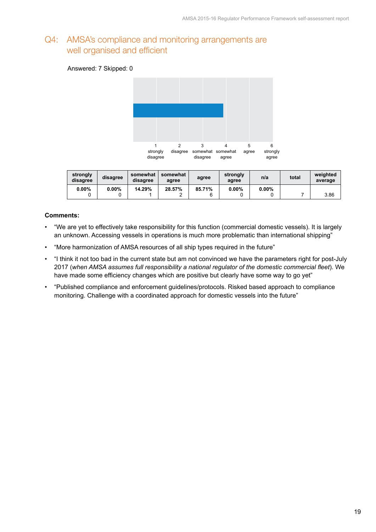#### Q4: AMSA's compliance and monitoring arrangements are well organised and efficient

#### Answered: 7 Skipped: 0



| strongly<br>disagree | disagree | somewhat<br>disagree | somewhat<br>agree | agree  | strongly<br>agree | n/a      | total | weighted<br>average |
|----------------------|----------|----------------------|-------------------|--------|-------------------|----------|-------|---------------------|
| $0.00\%$             | 0.00%    | 14.29%               | 28.57%            | 85.71% | $0.00\%$          | $0.00\%$ |       | 3.86                |

- "We are yet to effectively take responsibility for this function (commercial domestic vessels). It is largely an unknown. Accessing vessels in operations is much more problematic than international shipping"
- "More harmonization of AMSA resources of all ship types required in the future"
- "I think it not too bad in the current state but am not convinced we have the parameters right for post-July 2017 (*when AMSA assumes full responsibility a national regulator of the domestic commercial fleet*). We have made some efficiency changes which are positive but clearly have some way to go yet"
- "Published compliance and enforcement guidelines/protocols. Risked based approach to compliance monitoring. Challenge with a coordinated approach for domestic vessels into the future"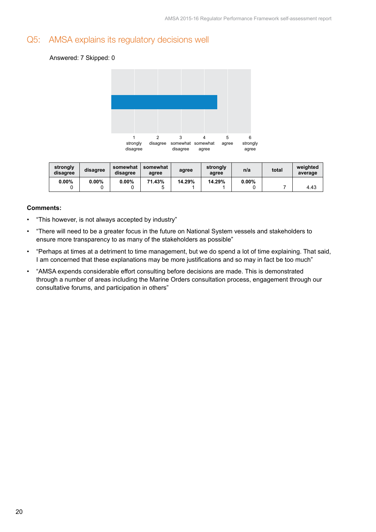#### Q5: AMSA explains its regulatory decisions well

#### Answered: 7 Skipped: 0



| strongly<br>disagree | disagree | somewhat<br>disagree | somewhat<br>agree | agree  | strongly<br>agree | n/a      | total | weighted<br>average |
|----------------------|----------|----------------------|-------------------|--------|-------------------|----------|-------|---------------------|
| $0.00\%$             | $0.00\%$ | $0.00\%$             | 71.43%            | 14.29% | 14.29%            | $0.00\%$ |       | 4.43                |

- "This however, is not always accepted by industry"
- "There will need to be a greater focus in the future on National System vessels and stakeholders to ensure more transparency to as many of the stakeholders as possible"
- "Perhaps at times at a detriment to time management, but we do spend a lot of time explaining. That said, I am concerned that these explanations may be more justifications and so may in fact be too much"
- "AMSA expends considerable effort consulting before decisions are made. This is demonstrated through a number of areas including the Marine Orders consultation process, engagement through our consultative forums, and participation in others"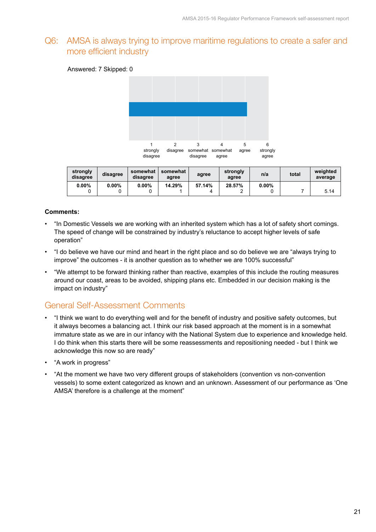#### Q6: AMSA is always trying to improve maritime regulations to create a safer and more efficient industry

#### Answered: 7 Skipped: 0



| strongly<br>disagree | disagree | somewhat<br>disagree | somewhat<br>agree | agree  | strongly<br>agree | n/a      | total | weighted<br>average |
|----------------------|----------|----------------------|-------------------|--------|-------------------|----------|-------|---------------------|
| $0.00\%$             | $0.00\%$ | $0.00\%$             | 14.29%            | 57.14% | 28.57%            | $0.00\%$ |       | 5.14                |

#### **Comments:**

- "In Domestic Vessels we are working with an inherited system which has a lot of safety short comings. The speed of change will be constrained by industry's reluctance to accept higher levels of safe operation"
- "I do believe we have our mind and heart in the right place and so do believe we are "always trying to improve" the outcomes - it is another question as to whether we are 100% successful"
- "We attempt to be forward thinking rather than reactive, examples of this include the routing measures around our coast, areas to be avoided, shipping plans etc. Embedded in our decision making is the impact on industry"

#### General Self-Assessment Comments

- "I think we want to do everything well and for the benefit of industry and positive safety outcomes, but it always becomes a balancing act. I think our risk based approach at the moment is in a somewhat immature state as we are in our infancy with the National System due to experience and knowledge held. I do think when this starts there will be some reassessments and repositioning needed - but I think we acknowledge this now so are ready"
- "A work in progress"
- "At the moment we have two very different groups of stakeholders (convention vs non-convention vessels) to some extent categorized as known and an unknown. Assessment of our performance as 'One AMSA' therefore is a challenge at the moment"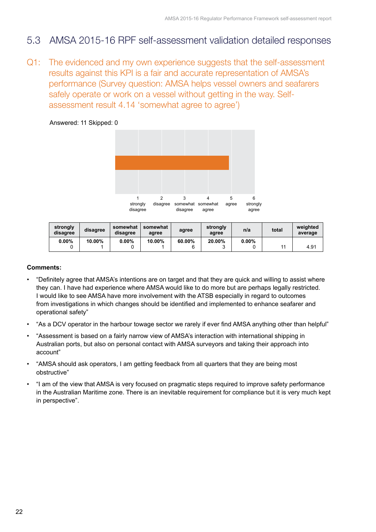#### 5.3 AMSA 2015-16 RPF self-assessment validation detailed responses

Q1: The evidenced and my own experience suggests that the self-assessment results against this KPI is a fair and accurate representation of AMSA's performance (Survey question: AMSA helps vessel owners and seafarers safely operate or work on a vessel without getting in the way. Selfassessment result 4.14 'somewhat agree to agree')



| strongly<br>disagree | disagree | somewhat<br>disagree | somewhat<br>agree | agree  | strongly<br>agree | n/a      | total | weighted<br>average |
|----------------------|----------|----------------------|-------------------|--------|-------------------|----------|-------|---------------------|
| $0.00\%$             | 10.00%   | $0.00\%$             | 10.00%            | 60.00% | 20.00%            | $0.00\%$ | 44    | 4.91                |

- "Definitely agree that AMSA's intentions are on target and that they are quick and willing to assist where they can. I have had experience where AMSA would like to do more but are perhaps legally restricted. I would like to see AMSA have more involvement with the ATSB especially in regard to outcomes from investigations in which changes should be identified and implemented to enhance seafarer and operational safety"
- "As a DCV operator in the harbour towage sector we rarely if ever find AMSA anything other than helpful"
- "Assessment is based on a fairly narrow view of AMSA's interaction with international shipping in Australian ports, but also on personal contact with AMSA surveyors and taking their approach into account"
- "AMSA should ask operators, I am getting feedback from all quarters that they are being most obstructive"
- "I am of the view that AMSA is very focused on pragmatic steps required to improve safety performance in the Australian Maritime zone. There is an inevitable requirement for compliance but it is very much kept in perspective".

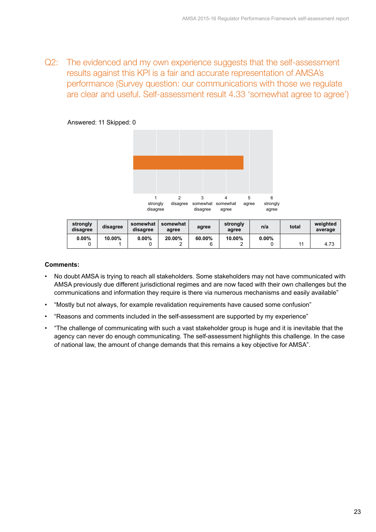Q2: The evidenced and my own experience suggests that the self-assessment results against this KPI is a fair and accurate representation of AMSA's performance (Survey question: our communications with those we regulate are clear and useful. Self-assessment result 4.33 'somewhat agree to agree')



#### Answered: 11 Skipped: 0

| strongly<br>disagree | disagree | somewhat<br>disagree | somewhat<br>agree | agree  | strongly<br>agree | n/a      | total | weighted<br>average |
|----------------------|----------|----------------------|-------------------|--------|-------------------|----------|-------|---------------------|
| $0.00\%$             | 10.00%   | $0.00\%$             | 20.00%            | 60.00% | 10.00%            | $0.00\%$ | 11    | 4.73                |

- No doubt AMSA is trying to reach all stakeholders. Some stakeholders may not have communicated with AMSA previously due different jurisdictional regimes and are now faced with their own challenges but the communications and information they require is there via numerous mechanisms and easily available"
- "Mostly but not always, for example revalidation requirements have caused some confusion"
- "Reasons and comments included in the self-assessment are supported by my experience"
- "The challenge of communicating with such a vast stakeholder group is huge and it is inevitable that the agency can never do enough communicating. The self-assessment highlights this challenge. In the case of national law, the amount of change demands that this remains a key objective for AMSA".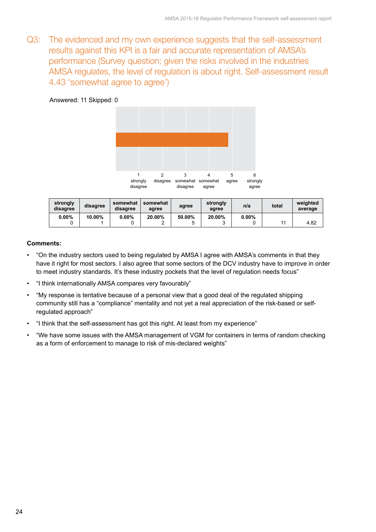Q3: The evidenced and my own experience suggests that the self-assessment results against this KPI is a fair and accurate representation of AMSA's performance (Survey question: given the risks involved in the industries AMSA regulates, the level of regulation is about right. Self-assessment result 4.43 'somewhat agree to agree')

#### Answered: 11 Skipped: 0



| strongly<br>disagree | disagree | somewhat<br>disagree | somewhat<br>agree | agree  | strongly<br>agree | n/a      | total | weighted<br>average |
|----------------------|----------|----------------------|-------------------|--------|-------------------|----------|-------|---------------------|
| $0.00\%$             | 10.00%   | $0.00\%$             | 20.00%            | 50.00% | 20.00%            | $0.00\%$ | 44    | 4.82                |

- "On the industry sectors used to being regulated by AMSA I agree with AMSA's comments in that they have it right for most sectors. I also agree that some sectors of the DCV industry have to improve in order to meet industry standards. It's these industry pockets that the level of regulation needs focus"
- "I think internationally AMSA compares very favourably"
- "My response is tentative because of a personal view that a good deal of the regulated shipping community still has a "compliance" mentality and not yet a real appreciation of the risk-based or selfregulated approach"
- "I think that the self-assessment has got this right. At least from my experience"
- "We have some issues with the AMSA management of VGM for containers in terms of random checking as a form of enforcement to manage to risk of mis-declared weights"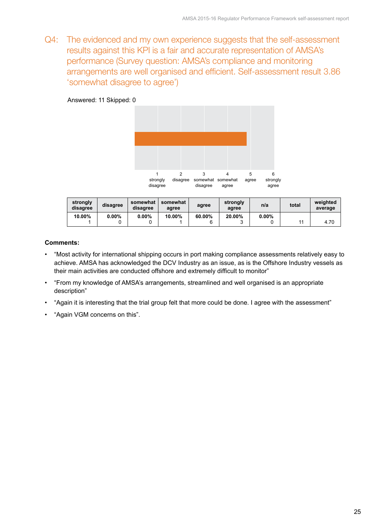Q4: The evidenced and my own experience suggests that the self-assessment results against this KPI is a fair and accurate representation of AMSA's performance (Survey question: AMSA's compliance and monitoring arrangements are well organised and efficient. Self-assessment result 3.86 'somewhat disagree to agree')



| strongly<br>disagree | disagree | somewhat<br>disagree | somewhat<br>agree | agree  | strongly<br>agree | n/a      | total | weighted<br>average |
|----------------------|----------|----------------------|-------------------|--------|-------------------|----------|-------|---------------------|
| 10.00%               | $0.00\%$ | $0.00\%$             | 10.00%            | 60.00% | 20.00%            | $0.00\%$ | 44    | 4.70                |

- "Most activity for international shipping occurs in port making compliance assessments relatively easy to achieve. AMSA has acknowledged the DCV Industry as an issue, as is the Offshore Industry vessels as their main activities are conducted offshore and extremely difficult to monitor"
- "From my knowledge of AMSA's arrangements, streamlined and well organised is an appropriate description"
- "Again it is interesting that the trial group felt that more could be done. I agree with the assessment"
- "Again VGM concerns on this".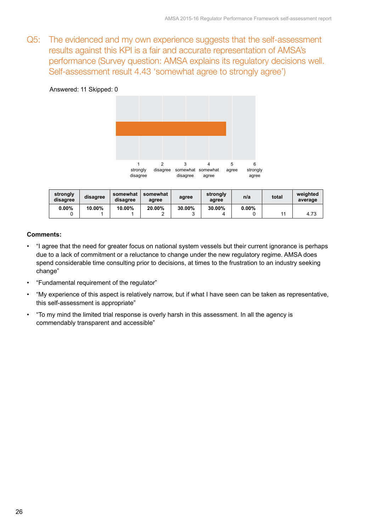Q5: The evidenced and my own experience suggests that the self-assessment results against this KPI is a fair and accurate representation of AMSA's performance (Survey question: AMSA explains its regulatory decisions well. Self-assessment result 4.43 'somewhat agree to strongly agree')

| Answered: 11 Skipped: 0 |  |  |  |
|-------------------------|--|--|--|
|-------------------------|--|--|--|



| strongly<br>disagree | disagree | somewhat<br>disagree | somewhat<br>agree | agree  | strongly<br>agree | n/a      | total | weighted<br>average |
|----------------------|----------|----------------------|-------------------|--------|-------------------|----------|-------|---------------------|
| $0.00\%$             | 10.00%   | 10.00%               | 20.00%            | 30.00% | 30.00%            | $0.00\%$ | 11    | 4.73                |

- "I agree that the need for greater focus on national system vessels but their current ignorance is perhaps due to a lack of commitment or a reluctance to change under the new regulatory regime. AMSA does spend considerable time consulting prior to decisions, at times to the frustration to an industry seeking change"
- "Fundamental requirement of the regulator"
- "My experience of this aspect is relatively narrow, but if what I have seen can be taken as representative, this self-assessment is appropriate"
- "To my mind the limited trial response is overly harsh in this assessment. In all the agency is commendably transparent and accessible"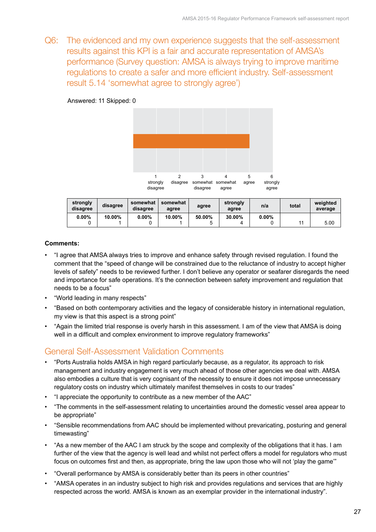Q6: The evidenced and my own experience suggests that the self-assessment results against this KPI is a fair and accurate representation of AMSA's performance (Survey question: AMSA is always trying to improve maritime regulations to create a safer and more efficient industry. Self-assessment result 5.14 'somewhat agree to strongly agree')



| strongly<br>disagree | disagree | somewhat<br>disagree | somewhat<br>agree | agree       | strongly<br>agree | n/a      | total | weighted<br>average |
|----------------------|----------|----------------------|-------------------|-------------|-------------------|----------|-------|---------------------|
| $0.00\%$             | 10.00%   | $0.00\%$             | 10.00%            | 50.00%<br>5 | 30.00%<br>4       | $0.00\%$ | 44    | 5.00                |

#### **Comments:**

- "I agree that AMSA always tries to improve and enhance safety through revised regulation. I found the comment that the "speed of change will be constrained due to the reluctance of industry to accept higher levels of safety" needs to be reviewed further. I don't believe any operator or seafarer disregards the need and importance for safe operations. It's the connection between safety improvement and regulation that needs to be a focus"
- "World leading in many respects"
- "Based on both contemporary activities and the legacy of considerable history in international regulation, my view is that this aspect is a strong point"
- "Again the limited trial response is overly harsh in this assessment. I am of the view that AMSA is doing well in a difficult and complex environment to improve regulatory frameworks"

#### General Self-Assessment Validation Comments

- "Ports Australia holds AMSA in high regard particularly because, as a regulator, its approach to risk management and industry engagement is very much ahead of those other agencies we deal with. AMSA also embodies a culture that is very cognisant of the necessity to ensure it does not impose unnecessary regulatory costs on industry which ultimately manifest themselves in costs to our trades"
- "I appreciate the opportunity to contribute as a new member of the AAC"
- "The comments in the self-assessment relating to uncertainties around the domestic vessel area appear to be appropriate"
- "Sensible recommendations from AAC should be implemented without prevaricating, posturing and general timewasting"
- "As a new member of the AAC I am struck by the scope and complexity of the obligations that it has. I am further of the view that the agency is well lead and whilst not perfect offers a model for regulators who must focus on outcomes first and then, as appropriate, bring the law upon those who will not 'play the game'"
- "Overall performance by AMSA is considerably better than its peers in other countries"
- "AMSA operates in an industry subject to high risk and provides regulations and services that are highly respected across the world. AMSA is known as an exemplar provider in the international industry".